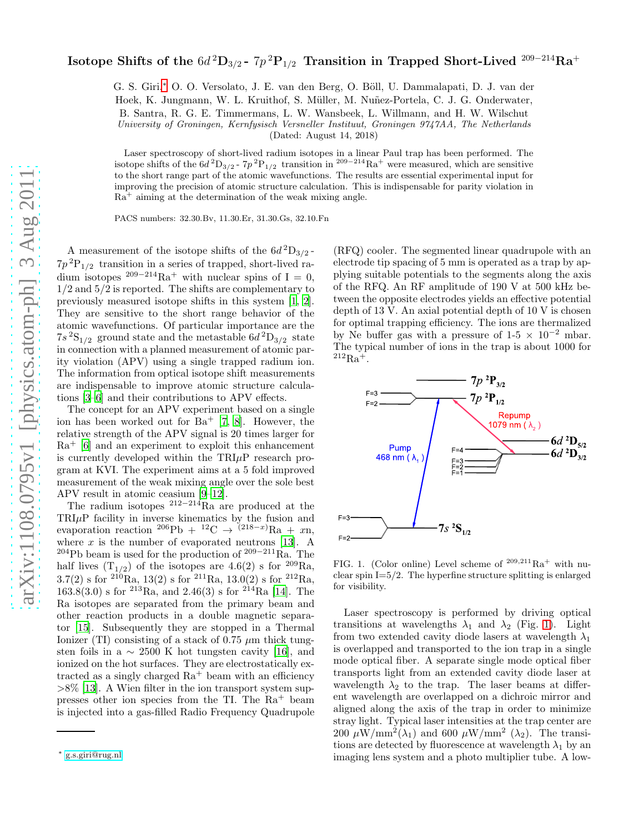## Isotope Shifts of the  $6d{\,}^2\mathrm{D}_{3/2}$ -  $7p{\,}^2\mathrm{P}_{1/2}$  Transition in Trapped Short-Lived  $^{209-214}\mathrm{Ra}^+$

G. S. Giri,\* O. O. Versolato, J. E. van den Berg, O. Böll, U. Dammalapati, D. J. van der Hoek, K. Jungmann, W. L. Kruithof, S. Müller, M. Nuñez-Portela, C. J. G. Onderwater, B. Santra, R. G. E. Timmermans, L. W. Wansbeek, L. Willmann, and H. W. Wilschut University of Groningen, Kernfysisch Versneller Instituut, Groningen 9747AA, The Netherlands

(Dated: August 14, 2018)

Laser spectroscopy of short-lived radium isotopes in a linear Paul trap has been performed. The isotope shifts of the  $6d^2D_{3/2}$  -  $7p^2P_{1/2}$  transition in <sup>209–214</sup>Ra<sup>+</sup> were measured, which are sensitive to the short range part of the atomic wavefunctions. The results are essential experimental input for improving the precision of atomic structure calculation. This is indispensable for parity violation in  $Ra<sup>+</sup>$  aiming at the determination of the weak mixing angle.

PACS numbers: 32.30.Bv, 11.30.Er, 31.30.Gs, 32.10.Fn

A measurement of the isotope shifts of the  $6d^2D_{3/2}$ - $7p^{2}P_{1/2}$  transition in a series of trapped, short-lived radium isotopes <sup>209−214</sup>Ra<sup>+</sup> with nuclear spins of I = 0,  $1/2$  and  $5/2$  is reported. The shifts are complementary to previously measured isotope shifts in this system [\[1,](#page-3-0) [2\]](#page-3-1). They are sensitive to the short range behavior of the atomic wavefunctions. Of particular importance are the  $7s<sup>2</sup>S<sub>1/2</sub>$  ground state and the metastable  $6d<sup>2</sup>D<sub>3/2</sub>$  state in connection with a planned measurement of atomic parity violation (APV) using a single trapped radium ion. The information from optical isotope shift measurements are indispensable to improve atomic structure calculations [\[3](#page-3-2)[–6](#page-3-3)] and their contributions to APV effects.

The concept for an APV experiment based on a single ion has been worked out for  $Ba^+$  [\[7,](#page-3-4) [8\]](#page-3-5). However, the relative strength of the APV signal is 20 times larger for  $Ra^+$  [\[6](#page-3-3)] and an experiment to exploit this enhancement is currently developed within the  $TRI\mu$ P research program at KVI. The experiment aims at a 5 fold improved measurement of the weak mixing angle over the sole best APV result in atomic ceasium [\[9](#page-3-6)[–12\]](#page-4-0).

The radium isotopes  $212-214$ Ra are produced at the  $TRI\mu P$  facility in inverse kinematics by the fusion and evaporation reaction  ${}^{206}\text{Pb} + {}^{12}\text{C} \rightarrow {}^{(218-x)}\text{Ra} + x\text{n}$ . where  $x$  is the number of evaporated neutrons [\[13\]](#page-4-1). A <sup>204</sup>Pb beam is used for the production of <sup>209</sup>−<sup>211</sup>Ra. The half lives  $(T_{1/2})$  of the isotopes are 4.6(2) s for <sup>209</sup>Ra, 3.7(2) s for <sup>210</sup>Ra, 13(2) s for <sup>211</sup>Ra, 13.0(2) s for <sup>212</sup>Ra,  $163.8(3.0)$  s for  $2^{13}Ra$ , and  $2.46(3)$  s for  $2^{14}Ra$  [\[14\]](#page-4-2). The Ra isotopes are separated from the primary beam and other reaction products in a double magnetic separator [\[15](#page-4-3)]. Subsequently they are stopped in a Thermal Ionizer (TI) consisting of a stack of 0.75  $\mu$ m thick tungsten foils in a  $\sim 2500$  K hot tungsten cavity [\[16\]](#page-4-4), and ionized on the hot surfaces. They are electrostatically extracted as a singly charged  $Ra^+$  beam with an efficiency  $>8\%$  [\[13\]](#page-4-1). A Wien filter in the ion transport system suppresses other ion species from the TI. The  $Ra^+$  beam is injected into a gas-filled Radio Frequency Quadrupole

(RFQ) cooler. The segmented linear quadrupole with an electrode tip spacing of 5 mm is operated as a trap by applying suitable potentials to the segments along the axis of the RFQ. An RF amplitude of 190 V at 500 kHz between the opposite electrodes yields an effective potential depth of 13 V. An axial potential depth of 10 V is chosen for optimal trapping efficiency. The ions are thermalized by Ne buffer gas with a pressure of  $1-5 \times 10^{-2}$  mbar. The typical number of ions in the trap is about 1000 for  $^{212}Ra^{+}$ .



<span id="page-0-1"></span>FIG. 1. (Color online) Level scheme of  $209,211$  Ra<sup>+</sup> with nuclear spin  $I=5/2$ . The hyperfine structure splitting is enlarged for visibility.

Laser spectroscopy is performed by driving optical transitions at wavelengths  $\lambda_1$  and  $\lambda_2$  (Fig. [1\)](#page-0-1). Light from two extended cavity diode lasers at wavelength  $\lambda_1$ is overlapped and transported to the ion trap in a single mode optical fiber. A separate single mode optical fiber transports light from an extended cavity diode laser at wavelength  $\lambda_2$  to the trap. The laser beams at different wavelength are overlapped on a dichroic mirror and aligned along the axis of the trap in order to minimize stray light. Typical laser intensities at the trap center are 200  $\mu$ W/mm<sup>2</sup>( $\lambda$ <sub>1</sub>) and 600  $\mu$ W/mm<sup>2</sup> ( $\lambda$ <sub>2</sub>). The transitions are detected by fluorescence at wavelength  $\lambda_1$  by an imaging lens system and a photo multiplier tube. A low-

<span id="page-0-0"></span><sup>∗</sup> [g.s.giri@rug.nl](mailto:g.s.giri@rug.nl)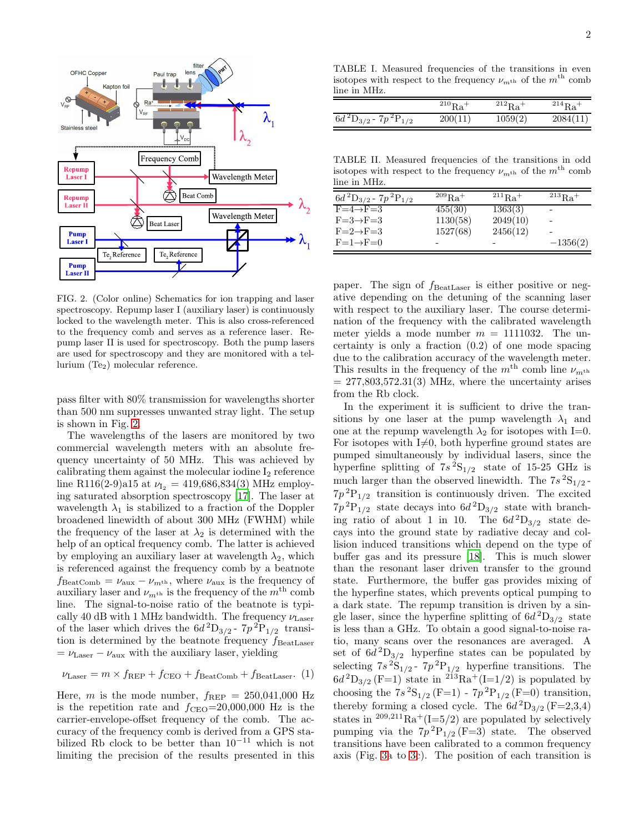

<span id="page-1-0"></span>FIG. 2. (Color online) Schematics for ion trapping and laser spectroscopy. Repump laser I (auxiliary laser) is continuously locked to the wavelength meter. This is also cross-referenced to the frequency comb and serves as a reference laser. Repump laser II is used for spectroscopy. Both the pump lasers are used for spectroscopy and they are monitored with a tellurium  $(T_{e_2})$  molecular reference.

pass filter with 80% transmission for wavelengths shorter than 500 nm suppresses unwanted stray light. The setup is shown in Fig. [2.](#page-1-0)

The wavelengths of the lasers are monitored by two commercial wavelength meters with an absolute frequency uncertainty of 50 MHz. This was achieved by calibrating them against the molecular iodine  $I_2$  reference line R116(2-9)a15 at  $\nu_{I_2} = 419,686,834(3)$  MHz employing saturated absorption spectroscopy [\[17\]](#page-4-5). The laser at wavelength  $\lambda_1$  is stabilized to a fraction of the Doppler broadened linewidth of about 300 MHz (FWHM) while the frequency of the laser at  $\lambda_2$  is determined with the help of an optical frequency comb. The latter is achieved by employing an auxiliary laser at wavelength  $\lambda_2$ , which is referenced against the frequency comb by a beatnote  $f_{\text{BeatComb}} = \nu_{\text{aux}} - \nu_{m^{\text{th}}}$ , where  $\nu_{\text{aux}}$  is the frequency of auxiliary laser and  $\nu_{m^{th}}$  is the frequency of the  $m^{th}$  comb line. The signal-to-noise ratio of the beatnote is typically 40 dB with 1 MHz bandwidth. The frequency  $\nu_{\text{Laser}}$ of the laser which drives the  $6d^2D_{3/2}$ -  $7p^2P_{1/2}$  transition is determined by the beatnote frequency  $f_{\text{BeatLaser}}$  $= \nu_{\rm Laser} - \nu_{\rm aux}$  with the auxiliary laser, yielding

$$
\nu_{\text{Laser}} = m \times f_{\text{REP}} + f_{\text{CEO}} + f_{\text{BeatComb}} + f_{\text{BeatLaser}}.
$$
 (1)

Here, m is the mode number,  $f_{\text{REP}} = 250,041,000$  Hz is the repetition rate and  $f_{\text{CEO}}=20,000,000$  Hz is the carrier-envelope-offset frequency of the comb. The accuracy of the frequency comb is derived from a GPS stabilized Rb clock to be better than  $10^{-11}$  which is not limiting the precision of the results presented in this

<span id="page-1-1"></span>TABLE I. Measured frequencies of the transitions in even isotopes with respect to the frequency  $\nu_{m<sup>th</sup>}$  of the  $m<sup>th</sup>$  comb line in MHz.

|                                    | $^{210}Ra^{+}$ | $^{212}Ra$ <sup>+</sup> | $^{214}Ra$ <sup>+</sup> |
|------------------------------------|----------------|-------------------------|-------------------------|
| $\sqrt{6d^2D_{3/2} - 7p^2P_{1/2}}$ | 200(11)        | 1059(2)                 | 2084(11)                |

<span id="page-1-2"></span>TABLE II. Measured frequencies of the transitions in odd isotopes with respect to the frequency  $\nu_{m^{\text{th}}}$  of the  $m^{\text{th}}$  comb line in MHz.

| $6d^{2}D_{3/2}$ - $7p^{2}P_{1/2}$ | $^{209}$ Ra <sup>+</sup> | $^{211}$ Ra <sup>+</sup> | $^{213}Ba+$              |
|-----------------------------------|--------------------------|--------------------------|--------------------------|
| $F = 4 \rightarrow F = 3$         | 455(30)                  | 1363(3)                  |                          |
| $F = 3 \rightarrow F = 3$         | 1130(58)                 | 2049(10)                 | $\overline{\phantom{0}}$ |
| $F = 2 \rightarrow F = 3$         | 1527(68)                 | 2456(12)                 |                          |
| $F=1 \rightarrow F=0$             |                          | -                        | $-1356(2)$               |

paper. The sign of  $f_{\text{BeatLaser}}$  is either positive or negative depending on the detuning of the scanning laser with respect to the auxiliary laser. The course determination of the frequency with the calibrated wavelength meter yields a mode number  $m = 1111032$ . The uncertainty is only a fraction (0.2) of one mode spacing due to the calibration accuracy of the wavelength meter. This results in the frequency of the  $m<sup>th</sup>$  comb line  $\nu_{m<sup>th</sup>}$  $= 277,803,572.31(3)$  MHz, where the uncertainty arises from the Rb clock.

In the experiment it is sufficient to drive the transitions by one laser at the pump wavelength  $\lambda_1$  and one at the repump wavelength  $\lambda_2$  for isotopes with I=0. For isotopes with  $I\neq 0$ , both hyperfine ground states are pumped simultaneously by individual lasers, since the hyperfine splitting of  $7s^2S_{1/2}$  state of 15-25 GHz is much larger than the observed linewidth. The  $7s^2S_{1/2}$ - $7p^{2}P_{1/2}$  transition is continuously driven. The excited  $7p^{2}P_{1/2}$  state decays into  $6d^{2}D_{3/2}$  state with branching ratio of about 1 in 10. The  $6d^2D_{3/2}$  state decays into the ground state by radiative decay and collision induced transitions which depend on the type of buffer gas and its pressure [\[18](#page-4-6)]. This is much slower than the resonant laser driven transfer to the ground state. Furthermore, the buffer gas provides mixing of the hyperfine states, which prevents optical pumping to a dark state. The repump transition is driven by a single laser, since the hyperfine splitting of  $6d^2D_{3/2}$  state is less than a GHz. To obtain a good signal-to-noise ratio, many scans over the resonances are averaged. A set of  $6d^2D_{3/2}$  hyperfine states can be populated by selecting  $7s^2S_{1/2}$  -  $7p^2P_{1/2}$  hyperfine transitions. The  $6d^{2}D_{3/2}$  (F=1) state in  $2^{13}Ra^{+}(I=1/2)$  is populated by choosing the  $7s^{2}S_{1/2}$  (F=1) -  $7p^{2}P_{1/2}$  (F=0) transition, thereby forming a closed cycle. The  $6d^2D_{3/2}$  (F=2,3,4) states in  $209,211$  $Ra^+(I=5/2)$  are populated by selectively pumping via the  $7p^2P_{1/2}$  (F=3) state. The observed transitions have been calibrated to a common frequency axis (Fig. [3a](#page-2-0) to [3c](#page-2-0)). The position of each transition is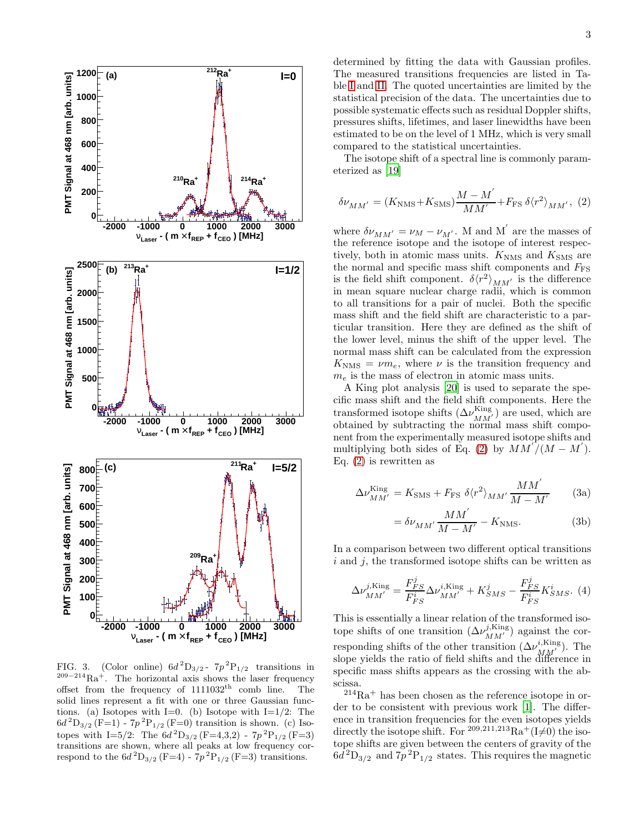

<span id="page-2-0"></span>FIG. 3. (Color online)  $6d^2D_{3/2}$ -  $7p^2P_{1/2}$  transitions in  $209-214}$ Ra<sup>+</sup>. The horizontal axis shows the laser frequency offset from the frequency of  $1111032<sup>th</sup>$  comb line. The solid lines represent a fit with one or three Gaussian functions. (a) Isotopes with I=0. (b) Isotope with I=1/2: The  $6d^{2}D_{3/2} (F=1) - 7p^{2}P_{1/2} (F=0)$  transition is shown. (c) Isotopes with I=5/2: The  $6d^2D_{3/2}$  (F=4,3,2) -  $7p^2P_{1/2}$  (F=3) transitions are shown, where all peaks at low frequency correspond to the  $6d^{2}D_{3/2}$  (F=4) -  $7p^{2}P_{1/2}$  (F=3) transitions.

determined by fitting the data with Gaussian profiles. The measured transitions frequencies are listed in Table [I](#page-1-1) and [II.](#page-1-2) The quoted uncertainties are limited by the statistical precision of the data. The uncertainties due to possible systematic effects such as residual Doppler shifts, pressures shifts, lifetimes, and laser linewidths have been estimated to be on the level of 1 MHz, which is very small compared to the statistical uncertainties.

The isotope shift of a spectral line is commonly parameterized as [\[19](#page-4-7)]

<span id="page-2-1"></span>
$$
\delta\nu_{MM'} = (K_{\rm NMS} + K_{\rm SMS})\frac{M - M'}{MM'} + F_{\rm FS} \,\delta \langle r^2 \rangle_{MM'},\,\,(2)
$$

where  $\delta \nu_{MM'} = \nu_M - \nu_{M'}$ . M and M' are the masses of the reference isotope and the isotope of interest respectively, both in atomic mass units.  $K_{\text{NMS}}$  and  $K_{\text{SMS}}$  are the normal and specific mass shift components and  $F_{\text{FS}}$ is the field shift component.  $\delta \langle r^2 \rangle_{MM'}$  is the difference in mean square nuclear charge radii, which is common to all transitions for a pair of nuclei. Both the specific mass shift and the field shift are characteristic to a particular transition. Here they are defined as the shift of the lower level, minus the shift of the upper level. The normal mass shift can be calculated from the expression  $K_{\text{NMS}} = \nu m_e$ , where  $\nu$  is the transition frequency and  $m_e$  is the mass of electron in atomic mass units.

A King plot analysis [\[20\]](#page-4-8) is used to separate the specific mass shift and the field shift components. Here the transformed isotope shifts  $(\Delta \nu_{MM'}^{\text{King}})$  are used, which are obtained by subtracting the normal mass shift component from the experimentally measured isotope shifts and multiplying both sides of Eq. [\(2\)](#page-2-1) by  $MM'/(M-M')$ . Eq. [\(2\)](#page-2-1) is rewritten as

$$
\Delta\nu_{MM'}^{\text{King}} = K_{\text{SMS}} + F_{\text{FS}} \,\delta \langle r^2 \rangle_{MM'} \frac{MM'}{M - M'} \tag{3a}
$$

<span id="page-2-2"></span>
$$
= \delta \nu_{MM'} \frac{MM'}{M - M'} - K_{\text{NMS}}.\tag{3b}
$$

In a comparison between two different optical transitions  $i$  and  $j$ , the transformed isotope shifts can be written as

<span id="page-2-3"></span>
$$
\Delta\nu_{MM'}^{j,\text{King}} = \frac{F_{FS}^j}{F_{FS}^i} \Delta\nu_{MM'}^{i,\text{King}} + K_{SMS}^j - \frac{F_{FS}^j}{F_{FS}^i} K_{SMS}^i.
$$
 (4)

This is essentially a linear relation of the transformed isotope shifts of one transition  $(\Delta \nu_{MM'}^{j, King})$  against the corresponding shifts of the other transition  $(\Delta \nu_{MM'}^{i,\text{King}})$ . The slope yields the ratio of field shifts and the difference in specific mass shifts appears as the crossing with the abscissa.

 $214Ra<sup>+</sup>$  has been chosen as the reference isotope in order to be consistent with previous work [\[1\]](#page-3-0). The difference in transition frequencies for the even isotopes yields directly the isotope shift. For  $209,211,213$ Ra<sup>+</sup>(I $\neq$ 0) the isotope shifts are given between the centers of gravity of the  $6d^2D_{3/2}$  and  $7p^2P_{1/2}$  states. This requires the magnetic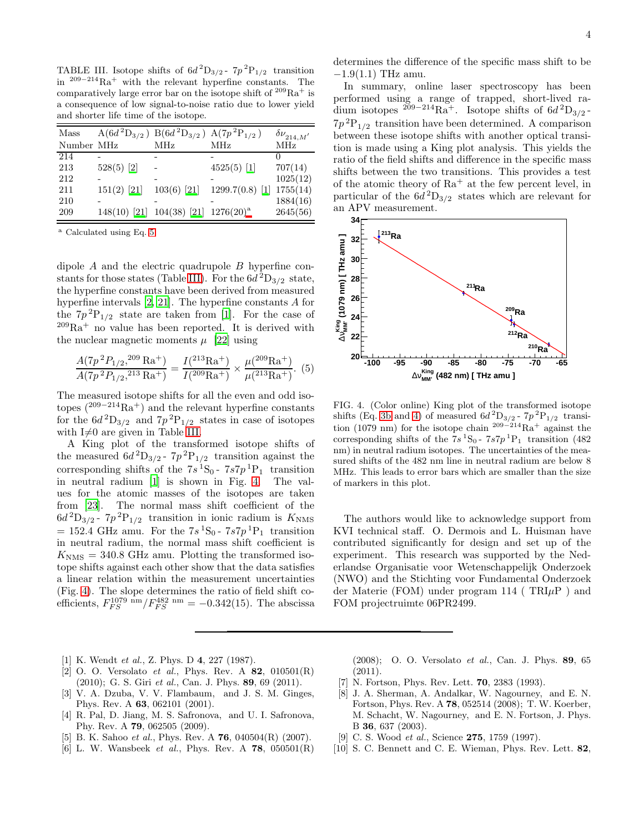<span id="page-3-9"></span>TABLE III. Isotope shifts of  $6d^2D_{3/2}$ -  $7p^2P_{1/2}$  transition in <sup>209</sup>−<sup>214</sup>Ra<sup>+</sup> with the relevant hyperfine constants. The comparatively large error bar on the isotope shift of  $209 \text{Ra}^+$  is a consequence of low signal-to-noise ratio due to lower yield and shorter life time of the isotope.

| Mass       |               | $A(6d^2D_{3/2})$ B $(6d^2D_{3/2})$ A $(7p^2P_{1/2})$ |                   | $\delta\nu_{214,M'}$ |
|------------|---------------|------------------------------------------------------|-------------------|----------------------|
| Number MHz |               | MHz                                                  | <b>MHz</b>        | <b>MHz</b>           |
| 214        |               |                                                      |                   |                      |
| 213        | $528(5)$ [2]  |                                                      | $4525(5)$ [1]     | 707(14)              |
| 212        |               |                                                      |                   | 1025(12)             |
| 211        | $151(2)$ [21] | $103(6)$ [21]                                        | $1299.7(0.8)$ [1] | 1755(14)             |
| 210        |               |                                                      |                   | 1884(16)             |
| 209        |               | 148(10) [21] 104(38) [21] 1276(20) <sup>a</sup>      |                   | 2645(56)             |

<span id="page-3-7"></span><sup>a</sup> Calculated using Eq. [5](#page-3-8)

dipole A and the electric quadrupole B hyperfine con-stants for those states (Table [III\)](#page-3-9). For the  $6d^2D_{3/2}$  state, the hyperfine constants have been derived from measured hyperfine intervals [\[2](#page-3-1), [21](#page-4-9)]. The hyperfine constants A for the  $7p^{2}P_{1/2}$  state are taken from [\[1](#page-3-0)]. For the case of  $209Ra<sup>+</sup>$  no value has been reported. It is derived with the nuclear magnetic moments  $\mu$  [\[22](#page-4-10)] using

<span id="page-3-8"></span>
$$
\frac{A(7p^2P_{1/2},^{209}\text{Ra}^+)}{A(7p^2P_{1/2},^{213}\text{Ra}^+)} = \frac{I(^{213}\text{Ra}^+)}{I(^{209}\text{Ra}^+)} \times \frac{\mu(^{209}\text{Ra}^+)}{\mu(^{213}\text{Ra}^+)}.
$$
 (5)

The measured isotope shifts for all the even and odd isotopes  $(^{209-214}Ra^{+})$  and the relevant hyperfine constants for the  $6d^2D_{3/2}$  and  $7p^2P_{1/2}$  states in case of isotopes with  $I\neq 0$  are given in Table [III.](#page-3-9)

A King plot of the transformed isotope shifts of the measured  $6d^2D_{3/2}$  -  $7p^2P_{1/2}$  transition against the corresponding shifts of the  $7s^1S_0$ -  $7s7p^1P_1$  transition in neutral radium [\[1\]](#page-3-0) is shown in Fig. [4.](#page-3-10) The values for the atomic masses of the isotopes are taken from [\[23\]](#page-4-11). The normal mass shift coefficient of the  $6d^2D_{3/2}$ -  $7p^2P_{1/2}$  transition in ionic radium is  $K_{\text{NMS}}$  $= 152.4$  GHz amu. For the  $7s<sup>1</sup>S<sub>0</sub> - 7s7p<sup>1</sup>P<sub>1</sub>$  transition in neutral radium, the normal mass shift coefficient is  $K<sub>NMS</sub> = 340.8$  GHz amu. Plotting the transformed isotope shifts against each other show that the data satisfies a linear relation within the measurement uncertainties (Fig. [4\)](#page-3-10). The slope determines the ratio of field shift coefficients,  $F_{FS}^{1079 \text{ nm}}/F_{FS}^{482 \text{ nm}} = -0.342(15)$ . The abscissa

determines the difference of the specific mass shift to be  $-1.9(1.1)$  THz amu.

In summary, online laser spectroscopy has been performed using a range of trapped, short-lived radium isotopes <sup>209−214</sup>Ra<sup>+</sup>. Isotope shifts of  $6d^2D_{3/2}$ - $7p^{2}P_{1/2}$  transition have been determined. A comparison between these isotope shifts with another optical transition is made using a King plot analysis. This yields the ratio of the field shifts and difference in the specific mass shifts between the two transitions. This provides a test of the atomic theory of  $Ra^+$  at the few percent level, in particular of the  $6d^2D_{3/2}$  states which are relevant for an APV measurement.



<span id="page-3-10"></span>FIG. 4. (Color online) King plot of the transformed isotope shifts (Eq. [3b](#page-2-2) and [4\)](#page-2-3) of measured  $6d^2D_{3/2}$  -  $7p^2P_{1/2}$  transition (1079 nm) for the isotope chain <sup>209–214</sup>Ra<sup>+</sup> against the corresponding shifts of the  $7s^1S_0$ -  $7s7p^1P_1$  transition (482) nm) in neutral radium isotopes. The uncertainties of the measured shifts of the 482 nm line in neutral radium are below 8 MHz. This leads to error bars which are smaller than the size of markers in this plot.

The authors would like to acknowledge support from KVI technical staff. O. Dermois and L. Huisman have contributed significantly for design and set up of the experiment. This research was supported by the Nederlandse Organisatie voor Wetenschappelijk Onderzoek (NWO) and the Stichting voor Fundamental Onderzoek der Materie (FOM) under program 114 ( $TRI\mu$ P) and FOM projectruimte 06PR2499.

- <span id="page-3-0"></span>[1] K. Wendt et al., Z. Phys. D 4, 227 (1987).
- <span id="page-3-1"></span>[2] O. O. Versolato et al., Phys. Rev. A  $82$ ,  $010501(R)$  $(2010)$ ; G. S. Giri et al., Can. J. Phys. 89, 69  $(2011)$ .
- <span id="page-3-2"></span>[3] V. A. Dzuba, V. V. Flambaum, and J. S. M. Ginges, Phys. Rev. A 63, 062101 (2001).
- [4] R. Pal, D. Jiang, M. S. Safronova, and U. I. Safronova, Phy. Rev. A 79, 062505 (2009).
- [5] B. K. Sahoo et al., Phys. Rev. A  $76$ , 040504(R) (2007).
- <span id="page-3-3"></span>[6] L. W. Wansbeek *et al.*, Phys. Rev. A  $78$ ,  $050501(R)$

(2008); O. O. Versolato et al., Can. J. Phys. 89, 65 (2011).

- <span id="page-3-4"></span>[7] N. Fortson, Phys. Rev. Lett. 70, 2383 (1993).
- <span id="page-3-5"></span>[8] J. A. Sherman, A. Andalkar, W. Nagourney, and E. N. Fortson, Phys. Rev. A 78, 052514 (2008); T. W. Koerber, M. Schacht, W. Nagourney, and E. N. Fortson, J. Phys. B 36, 637 (2003).
- <span id="page-3-6"></span>[9] C. S. Wood *et al.*, Science **275**, 1759 (1997).
- [10] S. C. Bennett and C. E. Wieman, Phys. Rev. Lett. 82,